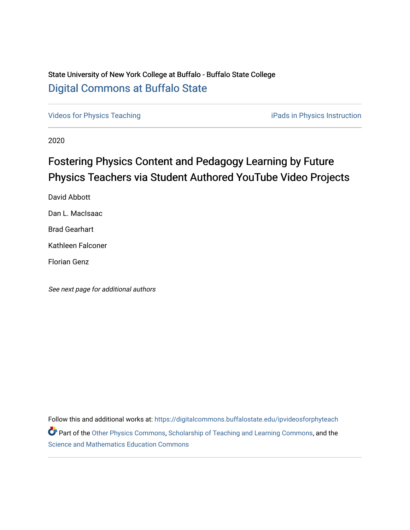## State University of New York College at Buffalo - Buffalo State College [Digital Commons at Buffalo State](https://digitalcommons.buffalostate.edu/)

[Videos for Physics Teaching](https://digitalcommons.buffalostate.edu/ipvideosforphyteach) iPads in Physics Instruction

2020

# Fostering Physics Content and Pedagogy Learning by Future Physics Teachers via Student Authored YouTube Video Projects

David Abbott Dan L. MacIsaac Brad Gearhart Kathleen Falconer Florian Genz

See next page for additional authors

Follow this and additional works at: [https://digitalcommons.buffalostate.edu/ipvideosforphyteach](https://digitalcommons.buffalostate.edu/ipvideosforphyteach?utm_source=digitalcommons.buffalostate.edu%2Fipvideosforphyteach%2F2&utm_medium=PDF&utm_campaign=PDFCoverPages) Part of the [Other Physics Commons](http://network.bepress.com/hgg/discipline/207?utm_source=digitalcommons.buffalostate.edu%2Fipvideosforphyteach%2F2&utm_medium=PDF&utm_campaign=PDFCoverPages), [Scholarship of Teaching and Learning Commons](http://network.bepress.com/hgg/discipline/1328?utm_source=digitalcommons.buffalostate.edu%2Fipvideosforphyteach%2F2&utm_medium=PDF&utm_campaign=PDFCoverPages), and the [Science and Mathematics Education Commons](http://network.bepress.com/hgg/discipline/800?utm_source=digitalcommons.buffalostate.edu%2Fipvideosforphyteach%2F2&utm_medium=PDF&utm_campaign=PDFCoverPages)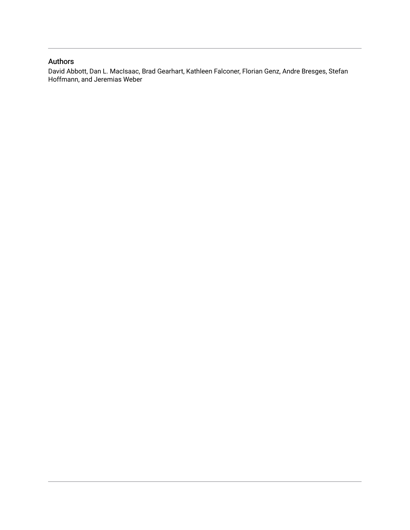### Authors

David Abbott, Dan L. MacIsaac, Brad Gearhart, Kathleen Falconer, Florian Genz, Andre Bresges, Stefan Hoffmann, and Jeremias Weber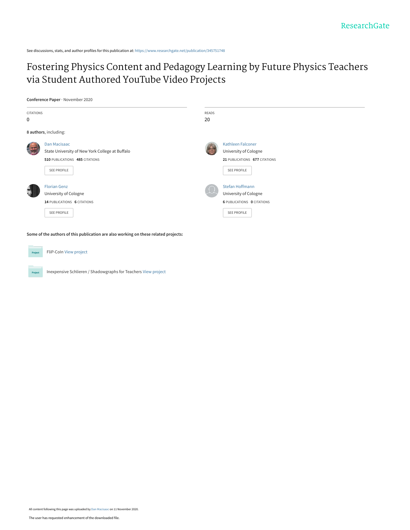See discussions, stats, and author profiles for this publication at: [https://www.researchgate.net/publication/345751748](https://www.researchgate.net/publication/345751748_Fostering_Physics_Content_and_Pedagogy_Learning_by_Future_Physics_Teachers_via_Student_Authored_YouTube_Video_Projects?enrichId=rgreq-f3b183f16e153e53700c5bff362cbca7-XXX&enrichSource=Y292ZXJQYWdlOzM0NTc1MTc0ODtBUzo5NTY4MjgzMDk1MzY3NjhAMTYwNTEzNzA1NDIwNA%3D%3D&el=1_x_2&_esc=publicationCoverPdf)

## [Fostering Physics Content and Pedagogy Learning by Future Physics Teachers](https://www.researchgate.net/publication/345751748_Fostering_Physics_Content_and_Pedagogy_Learning_by_Future_Physics_Teachers_via_Student_Authored_YouTube_Video_Projects?enrichId=rgreq-f3b183f16e153e53700c5bff362cbca7-XXX&enrichSource=Y292ZXJQYWdlOzM0NTc1MTc0ODtBUzo5NTY4MjgzMDk1MzY3NjhAMTYwNTEzNzA1NDIwNA%3D%3D&el=1_x_3&_esc=publicationCoverPdf) via Student Authored YouTube Video Projects

**Conference Paper** · November 2020



**Some of the authors of this publication are also working on these related projects:**



Project

FliP-CoIn [View project](https://www.researchgate.net/project/FliP-CoIn?enrichId=rgreq-f3b183f16e153e53700c5bff362cbca7-XXX&enrichSource=Y292ZXJQYWdlOzM0NTc1MTc0ODtBUzo5NTY4MjgzMDk1MzY3NjhAMTYwNTEzNzA1NDIwNA%3D%3D&el=1_x_9&_esc=publicationCoverPdf)

Inexpensive Schlieren / Shadowgraphs for Teachers [View project](https://www.researchgate.net/project/Inexpensive-Schlieren-Shadowgraphs-for-Teachers?enrichId=rgreq-f3b183f16e153e53700c5bff362cbca7-XXX&enrichSource=Y292ZXJQYWdlOzM0NTc1MTc0ODtBUzo5NTY4MjgzMDk1MzY3NjhAMTYwNTEzNzA1NDIwNA%3D%3D&el=1_x_9&_esc=publicationCoverPdf)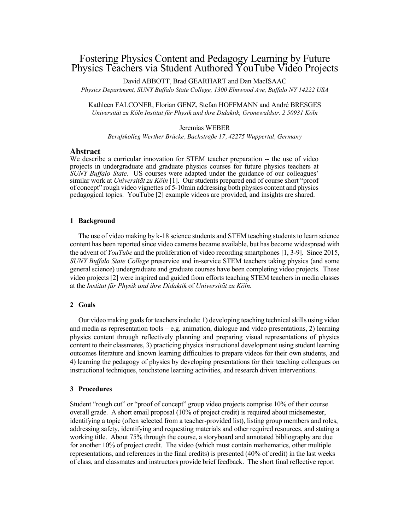### Fostering Physics Content and Pedagogy Learning by Future Physics Teachers via Student Authored YouTube Video Projects

David ABBOTT, Brad GEARHART and Dan MacISAAC *Physics Department, SUNY Buffalo State College, 1300 Elmwood Ave, Buffalo NY 14222 USA*

Kathleen FALCONER, Florian GENZ, Stefan HOFFMANN and André BRESGES *Universität zu Köln Institut für Physik und ihre Didaktik, Gronewaldstr. 2 50931 Köln*

#### Jeremias WEBER

*Berufskolleg Werther Brücke, Bachstraße 17, 42275 Wuppertal, Germany*

#### **Abstract**

We describe a curricular innovation for STEM teacher preparation -- the use of video projects in undergraduate and graduate physics courses for future physics teachers at *SUNY Buffalo State.* US courses were adapted under the guidance of our colleagues' similar work at *Universität zu Köln* [1]. Our students prepared end of course short "proof of concept" rough video vignettes of 5-10min addressing both physics content and physics pedagogical topics. YouTube [2] example videos are provided, and insights are shared.

#### **1 Background**

The use of video making by k-18 science students and STEM teaching students to learn science content has been reported since video cameras became available, but has become widespread with the advent of *YouTube* and the proliferation of video recording smartphones [1, 3-9]. Since 2015, *SUNY Buffalo State College* preservice and in-service STEM teachers taking physics (and some general science) undergraduate and graduate courses have been completing video projects. These video projects [2] were inspired and guided from efforts teaching STEM teachers in media classes at the *Institut für Physik und ihre Didaktik* of *Universität zu Köln.*

#### **2 Goals**

Our video making goals forteachers include: 1) developing teaching technical skills using video and media as representation tools – e.g. animation, dialogue and video presentations, 2) learning physics content through reflectively planning and preparing visual representations of physics content to their classmates, 3) practicing physics instructional development using student learning outcomes literature and known learning difficulties to prepare videos for their own students, and 4) learning the pedagogy of physics by developing presentations for their teaching colleagues on instructional techniques, touchstone learning activities, and research driven interventions.

#### **3 Procedures**

Student "rough cut" or "proof of concept" group video projects comprise 10% of their course overall grade. A short email proposal (10% of project credit) is required about midsemester, identifying a topic (often selected from a teacher-provided list), listing group members and roles, addressing safety, identifying and requesting materials and other required resources, and stating a working title. About 75% through the course, a storyboard and annotated bibliography are due for another 10% of project credit. The video (which must contain mathematics, other multiple representations, and references in the final credits) is presented (40% of credit) in the last weeks of class, and classmates and instructors provide brief feedback. The short final reflective report